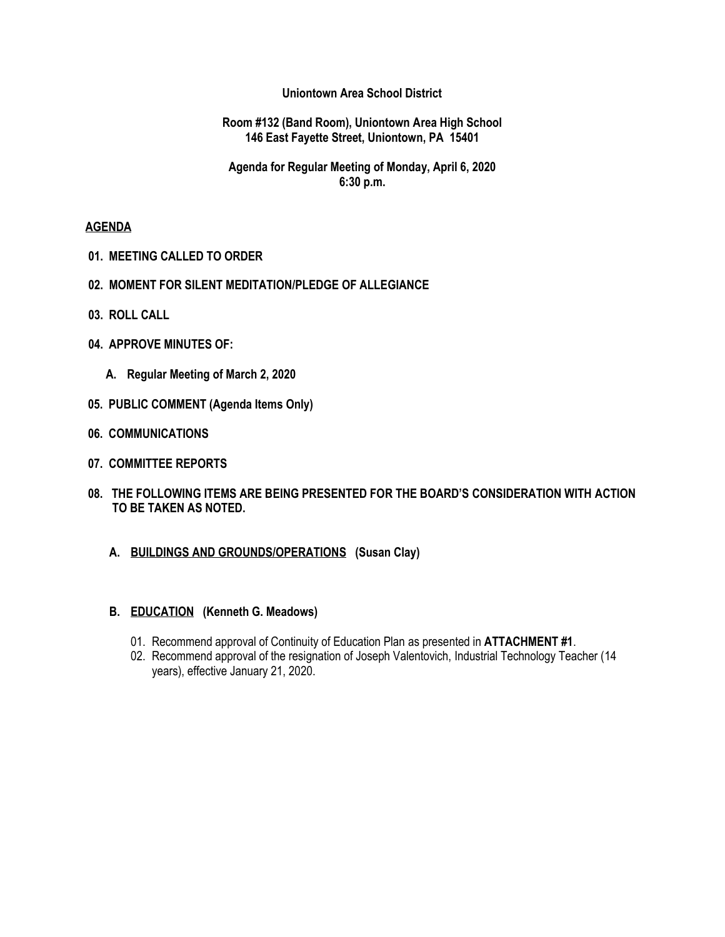### **Uniontown Area School District**

#### **Room #132 (Band Room), Uniontown Area High School 146 East Fayette Street, Uniontown, PA 15401**

# **Agenda for Regular Meeting of Monday, April 6, 2020 6:30 p.m.**

### **AGENDA**

- **01. MEETING CALLED TO ORDER**
- **02. MOMENT FOR SILENT MEDITATION/PLEDGE OF ALLEGIANCE**
- **03. ROLL CALL**
- **04. APPROVE MINUTES OF:**
	- **A. Regular Meeting of March 2, 2020**
- **05. PUBLIC COMMENT (Agenda Items Only)**
- **06. COMMUNICATIONS**
- **07. COMMITTEE REPORTS**
- **08. THE FOLLOWING ITEMS ARE BEING PRESENTED FOR THE BOARD'S CONSIDERATION WITH ACTION TO BE TAKEN AS NOTED.**
	- **A. BUILDINGS AND GROUNDS/OPERATIONS (Susan Clay)**

#### **B. EDUCATION (Kenneth G. Meadows)**

- 01. Recommend approval of Continuity of Education Plan as presented in **ATTACHMENT #1**.
- 02. Recommend approval of the resignation of Joseph Valentovich, Industrial Technology Teacher (14 years), effective January 21, 2020.